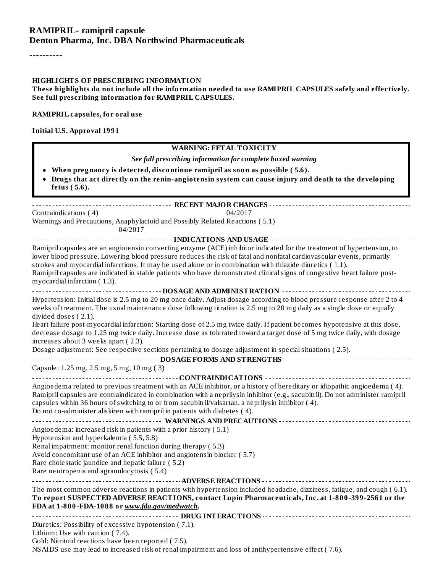#### **RAMIPRIL- ramipril capsule Denton Pharma, Inc. DBA Northwind Pharmaceuticals**

----------

#### **HIGHLIGHTS OF PRESCRIBING INFORMATION**

**These highlights do not include all the information needed to use RAMIPRIL CAPSULES safely and effectively. See full prescribing information for RAMIPRIL CAPSULES.**

**RAMIPRIL capsules, for oral use**

**Initial U.S. Approval 1991**

#### **WARNING: FETAL TOXICITY**

#### *See full prescribing information for complete boxed warning*

- **When pregnancy is detected, discontinue ramipril as soon as possible ( 5.6).**
- **Drugs that act directly on the renin-angiotensin system can cause injury and death to the developing fetus ( 5.6).**

**RECENT MAJOR CHANGES** Contraindications (4) 04/2017 Warnings and Precautions, Anaphylactoid and Possibly Related Reactions ( 5.1) 04/2017

**INDICATIONS AND USAGE** Ramipril capsules are an angiotensin converting enzyme (ACE) inhibitor indicated for the treatment of hypertension, to lower blood pressure. Lowering blood pressure reduces the risk of fatal and nonfatal cardiovascular events, primarily strokes and myocardial infarctions. It may be used alone or in combination with thiazide diuretics ( 1.1). Ramipril capsules are indicated in stable patients who have demonstrated clinicalsigns of congestive heart failure postmyocardial infarction ( 1.3).

**DOSAGE AND ADMINISTRATION** Hypertension: Initial dose is 2.5 mg to 20 mg once daily. Adjust dosage according to blood pressure response after 2 to 4 weeks of treatment. The usual maintenance dose following titration is 2.5 mg to 20 mg daily as a single dose or equally divided doses ( 2.1).

Heart failure post-myocardial infarction: Starting dose of 2.5 mg twice daily. If patient becomes hypotensive at this dose, decrease dosage to 1.25 mg twice daily. Increase dose as tolerated toward a target dose of 5 mg twice daily, with dosage increases about 3 weeks apart ( 2.3).

Dosage adjustment: See respective sections pertaining to dosage adjustment in special situations (2.5).

**DOSAGE FORMS AND STRENGTHS** Capsule: 1.25 mg, 2.5 mg, 5 mg, 10 mg ( 3)

**CONTRAINDICATIONS** Angioedema related to previous treatment with an ACE inhibitor, or a history of hereditary or idiopathic angioedema ( 4). Ramipril capsules are contraindicated in combination with a neprilysin inhibitor (e.g., sacubitril). Do not administer ramipril capsules within 36 hours of switching to or from sacubitril/valsartan, a neprilysin inhibitor ( 4). Do not co-administer aliskiren with ramipril in patients with diabetes ( 4).

**WARNINGS AND PRECAUTIONS** Angioedema: increased risk in patients with a prior history ( 5.1) Hypotension and hyperkalemia ( 5.5, 5.8) Renal impairment: monitor renal function during therapy ( 5.3)

Avoid concomitant use of an ACE inhibitor and angiotensin blocker ( 5.7)

Rare cholestatic jaundice and hepatic failure ( 5.2)

Rare neutropenia and agranulocytosis ( 5.4)

#### **ADVERSE REACTIONS** The most common adverse reactions in patients with hypertension included headache, dizziness, fatigue, and cough ( 6.1). **To report SUSPECTED ADVERSE REACTIONS, contact Lupin Pharmaceuticals, Inc. at 1-800-399-2561 or the FDA at 1-800-FDA-1088 or** *www.fda.gov/medwatch***.**

**DRUG INTERACTIONS** Diuretics: Possibility of excessive hypotension ( 7.1).

Lithium: Use with caution ( 7.4).

Gold: Nitritoid reactions have been reported ( 7.5).

NSAIDS use may lead to increased risk of renal impairment and loss of antihypertensive effect ( 7.6).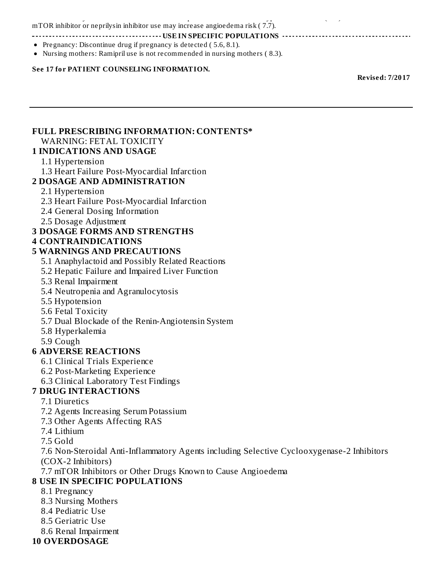NSAIDS use may lead to increased risk of renal impairment and loss of antihypertensive effect ( 7.6). mTOR inhibitor or neprilysin inhibitor use may increase angioedema risk (7.7).

**USE IN SPECIFIC POPULATIONS**

- Pregnancy: Discontinue drug if pregnancy is detected  $(5.6, 8.1)$ .
- Nursing mothers: Ramipril use is not recommended in nursing mothers ( 8.3).

#### **See 17 for PATIENT COUNSELING INFORMATION.**

**Revised: 7/2017**

#### **FULL PRESCRIBING INFORMATION: CONTENTS\***

WARNING: FETAL TOXICITY

#### **1 INDICATIONS AND USAGE**

#### 1.1 Hypertension

1.3 Heart Failure Post-Myocardial Infarction

#### **2 DOSAGE AND ADMINISTRATION**

- 2.1 Hypertension
- 2.3 Heart Failure Post-Myocardial Infarction
- 2.4 General Dosing Information
- 2.5 Dosage Adjustment

#### **3 DOSAGE FORMS AND STRENGTHS**

#### **4 CONTRAINDICATIONS**

#### **5 WARNINGS AND PRECAUTIONS**

- 5.1 Anaphylactoid and Possibly Related Reactions
- 5.2 Hepatic Failure and Impaired Liver Function
- 5.3 Renal Impairment
- 5.4 Neutropenia and Agranulocytosis
- 5.5 Hypotension
- 5.6 Fetal Toxicity
- 5.7 Dual Blockade of the Renin-Angiotensin System
- 5.8 Hyperkalemia
- 5.9 Cough

#### **6 ADVERSE REACTIONS**

- 6.1 Clinical Trials Experience
- 6.2 Post-Marketing Experience
- 6.3 Clinical Laboratory Test Findings

#### **7 DRUG INTERACTIONS**

7.1 Diuretics

- 7.2 Agents Increasing Serum Potassium
- 7.3 Other Agents Affecting RAS
- 7.4 Lithium

7.5 Gold

7.6 Non-Steroidal Anti-Inflammatory Agents including Selective Cyclooxygenase-2 Inhibitors (COX-2 Inhibitors)

7.7 mTOR Inhibitors or Other Drugs Known to Cause Angioedema

#### **8 USE IN SPECIFIC POPULATIONS**

- 8.1 Pregnancy
- 8.3 Nursing Mothers
- 8.4 Pediatric Use
- 8.5 Geriatric Use
- 8.6 Renal Impairment
- **10 OVERDOSAGE**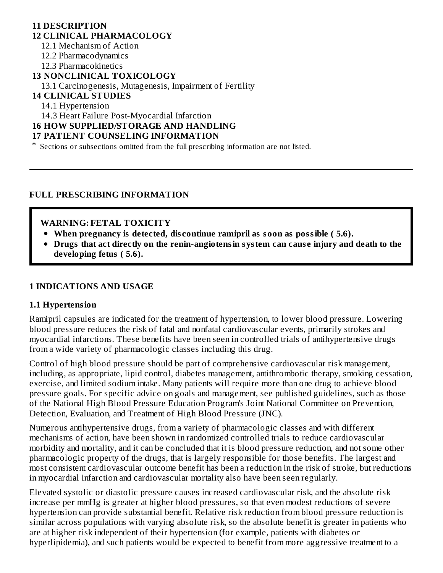#### **11 DESCRIPTION 12 CLINICAL PHARMACOLOGY** 12.1 Mechanism of Action 12.2 Pharmacodynamics 12.3 Pharmacokinetics **13 NONCLINICAL TOXICOLOGY** 13.1 Carcinogenesis, Mutagenesis, Impairment of Fertility **14 CLINICAL STUDIES** 14.1 Hypertension 14.3 Heart Failure Post-Myocardial Infarction

#### **16 HOW SUPPLIED/STORAGE AND HANDLING**

#### **17 PATIENT COUNSELING INFORMATION**

\* Sections or subsections omitted from the full prescribing information are not listed.

#### **FULL PRESCRIBING INFORMATION**

#### **WARNING: FETAL TOXICITY**

- **When pregnancy is detected, dis continue ramipril as soon as possible ( 5.6).**
- **Drugs that act directly on the renin-angiotensin system can caus e injury and death to the developing fetus ( 5.6).**

#### **1 INDICATIONS AND USAGE**

#### **1.1 Hypertension**

Ramipril capsules are indicated for the treatment of hypertension, to lower blood pressure. Lowering blood pressure reduces the risk of fatal and nonfatal cardiovascular events, primarily strokes and myocardial infarctions. These benefits have been seen in controlled trials of antihypertensive drugs from a wide variety of pharmacologic classes including this drug.

Control of high blood pressure should be part of comprehensive cardiovascular risk management, including, as appropriate, lipid control, diabetes management, antithrombotic therapy, smoking cessation, exercise, and limited sodium intake. Many patients will require more than one drug to achieve blood pressure goals. For specific advice on goals and management, see published guidelines, such as those of the National High Blood Pressure Education Program's Joint National Committee on Prevention, Detection, Evaluation, and Treatment of High Blood Pressure (JNC).

Numerous antihypertensive drugs, from a variety of pharmacologic classes and with different mechanisms of action, have been shown in randomized controlled trials to reduce cardiovascular morbidity and mortality, and it can be concluded that it is blood pressure reduction, and not some other pharmacologic property of the drugs, that is largely responsible for those benefits. The largest and most consistent cardiovascular outcome benefit has been a reduction in the risk of stroke, but reductions in myocardial infarction and cardiovascular mortality also have been seen regularly.

Elevated systolic or diastolic pressure causes increased cardiovascular risk, and the absolute risk increase per mmHg is greater at higher blood pressures, so that even modest reductions of severe hypertension can provide substantial benefit. Relative risk reduction from blood pressure reduction is similar across populations with varying absolute risk, so the absolute benefit is greater in patients who are at higher risk independent of their hypertension (for example, patients with diabetes or hyperlipidemia), and such patients would be expected to benefit from more aggressive treatment to a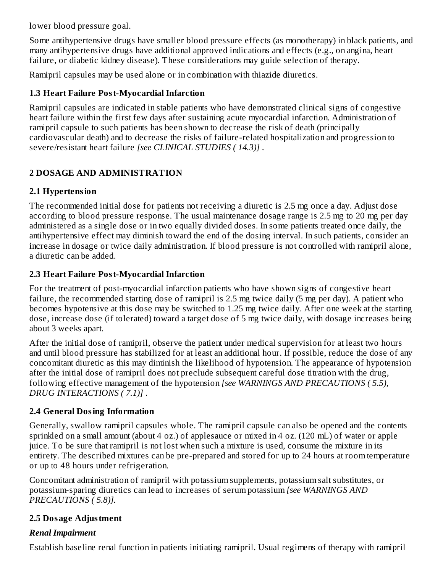lower blood pressure goal.

Some antihypertensive drugs have smaller blood pressure effects (as monotherapy) in black patients, and many antihypertensive drugs have additional approved indications and effects (e.g., on angina, heart failure, or diabetic kidney disease). These considerations may guide selection of therapy.

Ramipril capsules may be used alone or in combination with thiazide diuretics.

# **1.3 Heart Failure Post-Myocardial Infarction**

Ramipril capsules are indicated in stable patients who have demonstrated clinical signs of congestive heart failure within the first few days after sustaining acute myocardial infarction. Administration of ramipril capsule to such patients has been shown to decrease the risk of death (principally cardiovascular death) and to decrease the risks of failure-related hospitalization and progression to severe/resistant heart failure *[see CLINICAL STUDIES ( 14.3)]* .

# **2 DOSAGE AND ADMINISTRATION**

# **2.1 Hypertension**

The recommended initial dose for patients not receiving a diuretic is 2.5 mg once a day. Adjust dose according to blood pressure response. The usual maintenance dosage range is 2.5 mg to 20 mg per day administered as a single dose or in two equally divided doses. In some patients treated once daily, the antihypertensive effect may diminish toward the end of the dosing interval. In such patients, consider an increase in dosage or twice daily administration. If blood pressure is not controlled with ramipril alone, a diuretic can be added.

# **2.3 Heart Failure Post-Myocardial Infarction**

For the treatment of post-myocardial infarction patients who have shown signs of congestive heart failure, the recommended starting dose of ramipril is 2.5 mg twice daily (5 mg per day). A patient who becomes hypotensive at this dose may be switched to 1.25 mg twice daily. After one week at the starting dose, increase dose (if tolerated) toward a target dose of 5 mg twice daily, with dosage increases being about 3 weeks apart.

After the initial dose of ramipril, observe the patient under medical supervision for at least two hours and until blood pressure has stabilized for at least an additional hour. If possible, reduce the dose of any concomitant diuretic as this may diminish the likelihood of hypotension. The appearance of hypotension after the initial dose of ramipril does not preclude subsequent careful dose titration with the drug, following effective management of the hypotension *[see WARNINGS AND PRECAUTIONS ( 5.5), DRUG INTERACTIONS ( 7.1)]* .

# **2.4 General Dosing Information**

Generally, swallow ramipril capsules whole. The ramipril capsule can also be opened and the contents sprinkled on a small amount (about 4 oz.) of applesauce or mixed in 4 oz. (120 mL) of water or apple juice. To be sure that ramipril is not lost when such a mixture is used, consume the mixture in its entirety. The described mixtures can be pre-prepared and stored for up to 24 hours at room temperature or up to 48 hours under refrigeration.

Concomitant administration of ramipril with potassium supplements, potassium salt substitutes, or potassium-sparing diuretics can lead to increases of serum potassium *[see WARNINGS AND PRECAUTIONS ( 5.8)].*

# **2.5 Dosage Adjustment**

# *Renal Impairment*

Establish baseline renal function in patients initiating ramipril. Usual regimens of therapy with ramipril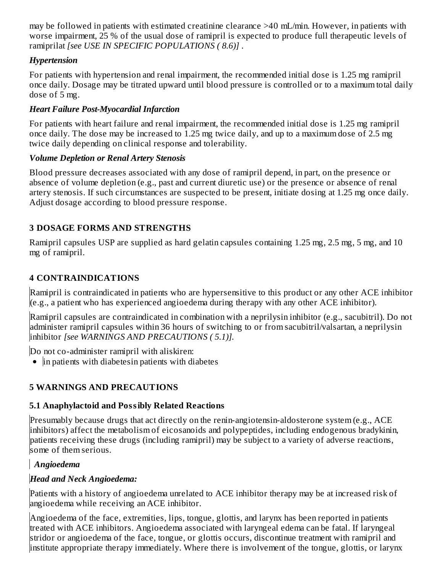may be followed in patients with estimated creatinine clearance >40 mL/min. However, in patients with worse impairment, 25 % of the usual dose of ramipril is expected to produce full therapeutic levels of ramiprilat *[see USE IN SPECIFIC POPULATIONS ( 8.6)]* .

# *Hypertension*

For patients with hypertension and renal impairment, the recommended initial dose is 1.25 mg ramipril once daily. Dosage may be titrated upward until blood pressure is controlled or to a maximum total daily dose of 5 mg.

# *Heart Failure Post-Myocardial Infarction*

For patients with heart failure and renal impairment, the recommended initial dose is 1.25 mg ramipril once daily. The dose may be increased to 1.25 mg twice daily, and up to a maximum dose of 2.5 mg twice daily depending on clinical response and tolerability.

# *Volume Depletion or Renal Artery Stenosis*

Blood pressure decreases associated with any dose of ramipril depend, in part, on the presence or absence of volume depletion (e.g., past and current diuretic use) or the presence or absence of renal artery stenosis. If such circumstances are suspected to be present, initiate dosing at 1.25 mg once daily. Adjust dosage according to blood pressure response.

# **3 DOSAGE FORMS AND STRENGTHS**

Ramipril capsules USP are supplied as hard gelatin capsules containing 1.25 mg, 2.5 mg, 5 mg, and 10 mg of ramipril.

# **4 CONTRAINDICATIONS**

Ramipril is contraindicated in patients who are hypersensitive to this product or any other ACE inhibitor (e.g., a patient who has experienced angioedema during therapy with any other ACE inhibitor).

Ramipril capsules are contraindicated in combination with a neprilysin inhibitor (e.g., sacubitril). Do not administer ramipril capsules within 36 hours of switching to or from sacubitril/valsartan, a neprilysin inhibitor *[see WARNINGS AND PRECAUTIONS ( 5.1)].*

Do not co-administer ramipril with aliskiren:

• in patients with diabetesin patients with diabetes

# **5 WARNINGS AND PRECAUTIONS**

# **5.1 Anaphylactoid and Possibly Related Reactions**

Presumably because drugs that act directly on the renin-angiotensin-aldosterone system (e.g., ACE inhibitors) affect the metabolism of eicosanoids and polypeptides, including endogenous bradykinin, patients receiving these drugs (including ramipril) may be subject to a variety of adverse reactions, some of them serious.

# *Angioedema*

# *Head and Neck Angioedema:*

Patients with a history of angioedema unrelated to ACE inhibitor therapy may be at increased risk of angioedema while receiving an ACE inhibitor.

Angioedema of the face, extremities, lips, tongue, glottis, and larynx has been reported in patients treated with ACE inhibitors. Angioedema associated with laryngeal edema can be fatal. If laryngeal stridor or angioedema of the face, tongue, or glottis occurs, discontinue treatment with ramipril and institute appropriate therapy immediately. Where there is involvement of the tongue, glottis, or larynx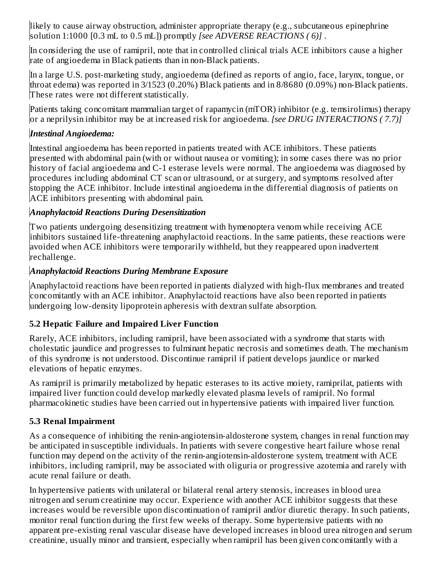likely to cause airway obstruction, administer appropriate therapy (e.g., subcutaneous epinephrine solution 1:1000 [0.3 mL to 0.5 mL]) promptly *[see ADVERSE REACTIONS ( 6)]* .

In considering the use of ramipril, note that in controlled clinical trials ACE inhibitors cause a higher rate of angioedema in Black patients than in non-Black patients.

In a large U.S. post-marketing study, angioedema (defined as reports of angio, face, larynx, tongue, or throat edema) was reported in 3/1523 (0.20%) Black patients and in 8/8680 (0.09%) non-Black patients. These rates were not different statistically.

Patients taking concomitant mammalian target of rapamycin (mTOR) inhibitor (e.g. temsirolimus) therapy or a neprilysin inhibitor may be at increased risk for angioedema. *[see DRUG INTERACTIONS ( 7.7)]*

## *Intestinal Angioedema:*

Intestinal angioedema has been reported in patients treated with ACE inhibitors. These patients presented with abdominal pain (with or without nausea or vomiting); in some cases there was no prior history of facial angioedema and C-1 esterase levels were normal. The angioedema was diagnosed by procedures including abdominal CT scan or ultrasound, or at surgery, and symptoms resolved after stopping the ACE inhibitor. Include intestinal angioedema in the differential diagnosis of patients on ACE inhibitors presenting with abdominal pain.

#### *Anaphylactoid Reactions During Desensitization*

Two patients undergoing desensitizing treatment with hymenoptera venom while receiving ACE inhibitors sustained life-threatening anaphylactoid reactions. In the same patients, these reactions were avoided when ACE inhibitors were temporarily withheld, but they reappeared upon inadvertent rechallenge.

#### *Anaphylactoid Reactions During Membrane Exposure*

Anaphylactoid reactions have been reported in patients dialyzed with high-flux membranes and treated concomitantly with an ACE inhibitor. Anaphylactoid reactions have also been reported in patients undergoing low-density lipoprotein apheresis with dextran sulfate absorption.

## **5.2 Hepatic Failure and Impaired Liver Function**

Rarely, ACE inhibitors, including ramipril, have been associated with a syndrome that starts with cholestatic jaundice and progresses to fulminant hepatic necrosis and sometimes death. The mechanism of this syndrome is not understood. Discontinue ramipril if patient develops jaundice or marked elevations of hepatic enzymes.

As ramipril is primarily metabolized by hepatic esterases to its active moiety, ramiprilat, patients with impaired liver function could develop markedly elevated plasma levels of ramipril. No formal pharmacokinetic studies have been carried out in hypertensive patients with impaired liver function.

## **5.3 Renal Impairment**

As a consequence of inhibiting the renin-angiotensin-aldosterone system, changes in renal function may be anticipated in susceptible individuals. In patients with severe congestive heart failure whose renal function may depend on the activity of the renin-angiotensin-aldosterone system, treatment with ACE inhibitors, including ramipril, may be associated with oliguria or progressive azotemia and rarely with acute renal failure or death.

In hypertensive patients with unilateral or bilateral renal artery stenosis, increases in blood urea nitrogen and serum creatinine may occur. Experience with another ACE inhibitor suggests that these increases would be reversible upon discontinuation of ramipril and/or diuretic therapy. In such patients, monitor renal function during the first few weeks of therapy. Some hypertensive patients with no apparent pre-existing renal vascular disease have developed increases in blood urea nitrogen and serum creatinine, usually minor and transient, especially when ramipril has been given concomitantly with a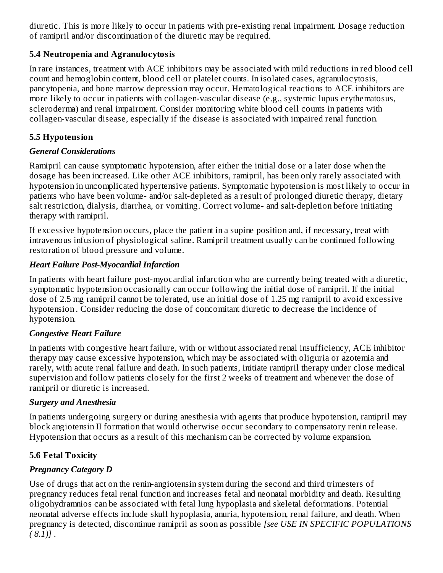diuretic. This is more likely to occur in patients with pre-existing renal impairment. Dosage reduction of ramipril and/or discontinuation of the diuretic may be required.

#### **5.4 Neutropenia and Agranulocytosis**

In rare instances, treatment with ACE inhibitors may be associated with mild reductions in red blood cell count and hemoglobin content, blood cell or platelet counts. In isolated cases, agranulocytosis, pancytopenia, and bone marrow depression may occur. Hematological reactions to ACE inhibitors are more likely to occur in patients with collagen-vascular disease (e.g., systemic lupus erythematosus, scleroderma) and renal impairment. Consider monitoring white blood cell counts in patients with collagen-vascular disease, especially if the disease is associated with impaired renal function.

## **5.5 Hypotension**

## *General Considerations*

Ramipril can cause symptomatic hypotension, after either the initial dose or a later dose when the dosage has been increased. Like other ACE inhibitors, ramipril, has been only rarely associated with hypotension in uncomplicated hypertensive patients. Symptomatic hypotension is most likely to occur in patients who have been volume- and/or salt-depleted as a result of prolonged diuretic therapy, dietary salt restriction, dialysis, diarrhea, or vomiting. Correct volume- and salt-depletion before initiating therapy with ramipril.

If excessive hypotension occurs, place the patient in a supine position and, if necessary, treat with intravenous infusion of physiological saline. Ramipril treatment usually can be continued following restoration of blood pressure and volume.

## *Heart Failure Post-Myocardial Infarction*

In patients with heart failure post-myocardial infarction who are currently being treated with a diuretic, symptomatic hypotension occasionally can occur following the initial dose of ramipril. If the initial dose of 2.5 mg ramipril cannot be tolerated, use an initial dose of 1.25 mg ramipril to avoid excessive hypotension *.* Consider reducing the dose of concomitant diuretic to decrease the incidence of hypotension.

## *Congestive Heart Failure*

In patients with congestive heart failure, with or without associated renal insufficiency, ACE inhibitor therapy may cause excessive hypotension, which may be associated with oliguria or azotemia and rarely, with acute renal failure and death. In such patients, initiate ramipril therapy under close medical supervision and follow patients closely for the first 2 weeks of treatment and whenever the dose of ramipril or diuretic is increased.

## *Surgery and Anesthesia*

In patients undergoing surgery or during anesthesia with agents that produce hypotension, ramipril may block angiotensin II formation that would otherwise occur secondary to compensatory renin release. Hypotension that occurs as a result of this mechanism can be corrected by volume expansion.

## **5.6 Fetal Toxicity**

# *Pregnancy Category D*

Use of drugs that act on the renin-angiotensin system during the second and third trimesters of pregnancy reduces fetal renal function and increases fetal and neonatal morbidity and death. Resulting oligohydramnios can be associated with fetal lung hypoplasia and skeletal deformations. Potential neonatal adverse effects include skull hypoplasia, anuria, hypotension, renal failure, and death. When pregnancy is detected, discontinue ramipril as soon as possible *[see USE IN SPECIFIC POPULATIONS ( 8.1)]* .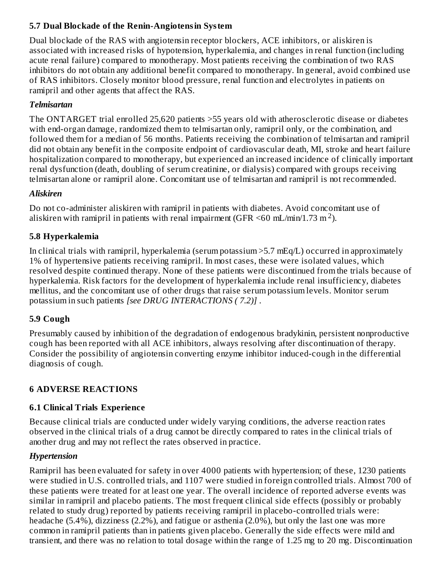# **5.7 Dual Blockade of the Renin-Angiotensin System**

Dual blockade of the RAS with angiotensin receptor blockers, ACE inhibitors, or aliskiren is associated with increased risks of hypotension, hyperkalemia, and changes in renal function (including acute renal failure) compared to monotherapy. Most patients receiving the combination of two RAS inhibitors do not obtain any additional benefit compared to monotherapy. In general, avoid combined use of RAS inhibitors. Closely monitor blood pressure, renal function and electrolytes in patients on ramipril and other agents that affect the RAS.

## *Telmisartan*

The ONTARGET trial enrolled 25,620 patients >55 years old with atherosclerotic disease or diabetes with end-organ damage, randomized them to telmisartan only, ramipril only, or the combination, and followed them for a median of 56 months. Patients receiving the combination of telmisartan and ramipril did not obtain any benefit in the composite endpoint of cardiovascular death, MI, stroke and heart failure hospitalization compared to monotherapy, but experienced an increased incidence of clinically important renal dysfunction (death, doubling of serum creatinine, or dialysis) compared with groups receiving telmisartan alone or ramipril alone. Concomitant use of telmisartan and ramipril is not recommended.

## *Aliskiren*

Do not co-administer aliskiren with ramipril in patients with diabetes. Avoid concomitant use of aliskiren with ramipril in patients with renal impairment (GFR  $\leq 60$  mL/min/1.73 m<sup>2</sup>).

# **5.8 Hyperkalemia**

In clinical trials with ramipril, hyperkalemia (serum potassium >5.7 mEq/L) occurred in approximately 1% of hypertensive patients receiving ramipril. In most cases, these were isolated values, which resolved despite continued therapy. None of these patients were discontinued from the trials because of hyperkalemia. Risk factors for the development of hyperkalemia include renal insufficiency, diabetes mellitus, and the concomitant use of other drugs that raise serum potassium levels. Monitor serum potassium in such patients *[see DRUG INTERACTIONS ( 7.2)]* .

## **5.9 Cough**

Presumably caused by inhibition of the degradation of endogenous bradykinin, persistent nonproductive cough has been reported with all ACE inhibitors, always resolving after discontinuation of therapy. Consider the possibility of angiotensin converting enzyme inhibitor induced-cough in the differential diagnosis of cough.

## **6 ADVERSE REACTIONS**

## **6.1 Clinical Trials Experience**

Because clinical trials are conducted under widely varying conditions, the adverse reaction rates observed in the clinical trials of a drug cannot be directly compared to rates in the clinical trials of another drug and may not reflect the rates observed in practice.

## *Hypertension*

Ramipril has been evaluated for safety in over 4000 patients with hypertension; of these, 1230 patients were studied in U.S. controlled trials, and 1107 were studied in foreign controlled trials. Almost 700 of these patients were treated for at least one year. The overall incidence of reported adverse events was similar in ramipril and placebo patients. The most frequent clinical side effects (possibly or probably related to study drug) reported by patients receiving ramipril in placebo-controlled trials were: headache (5.4%), dizziness (2.2%), and fatigue or asthenia (2.0%), but only the last one was more common in ramipril patients than in patients given placebo. Generally the side effects were mild and transient, and there was no relation to total dosage within the range of 1.25 mg to 20 mg. Discontinuation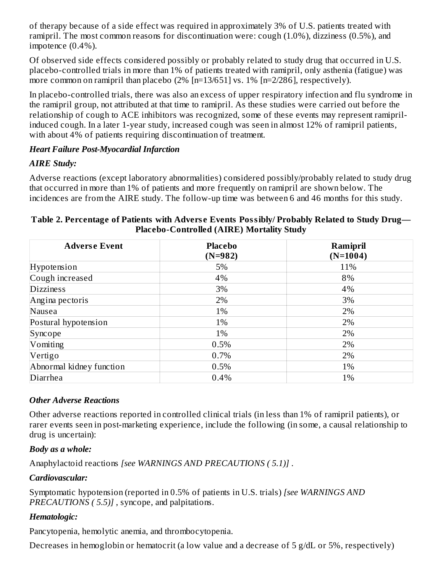of therapy because of a side effect was required in approximately 3% of U.S. patients treated with ramipril. The most common reasons for discontinuation were: cough (1.0%), dizziness (0.5%), and impotence (0.4%).

Of observed side effects considered possibly or probably related to study drug that occurred in U.S. placebo-controlled trials in more than 1% of patients treated with ramipril, only asthenia (fatigue) was more common on ramipril than placebo (2% [n=13/651] vs. 1% [n=2/286], respectively).

In placebo-controlled trials, there was also an excess of upper respiratory infection and flu syndrome in the ramipril group, not attributed at that time to ramipril. As these studies were carried out before the relationship of cough to ACE inhibitors was recognized, some of these events may represent ramiprilinduced cough. In a later 1-year study, increased cough was seen in almost 12% of ramipril patients, with about 4% of patients requiring discontinuation of treatment.

#### *Heart Failure Post-Myocardial Infarction*

# *AIRE Study:*

Adverse reactions (except laboratory abnormalities) considered possibly/probably related to study drug that occurred in more than 1% of patients and more frequently on ramipril are shown below. The incidences are from the AIRE study. The follow-up time was between 6 and 46 months for this study.

| <b>Adverse Event</b>     | <b>Placebo</b><br>$(N=982)$ | Ramipril<br>$(N=1004)$ |
|--------------------------|-----------------------------|------------------------|
| Hypotension              | 5%                          | 11%                    |
| Cough increased          | 4%                          | 8%                     |
| <b>Dizziness</b>         | 3%                          | 4%                     |
| Angina pectoris          | 2%                          | 3%                     |
| Nausea                   | 1%                          | 2%                     |
| Postural hypotension     | 1%                          | 2%                     |
| Syncope                  | 1%                          | 2%                     |
| Vomiting                 | 0.5%                        | 2%                     |
| Vertigo                  | 0.7%                        | 2%                     |
| Abnormal kidney function | 0.5%                        | 1%                     |
| Diarrhea                 | 0.4%                        | 1%                     |

#### **Table 2. Percentage of Patients with Advers e Events Possibly/ Probably Related to Study Drug— Placebo-Controlled (AIRE) Mortality Study**

# *Other Adverse Reactions*

Other adverse reactions reported in controlled clinical trials (in less than 1% of ramipril patients), or rarer events seen in post-marketing experience, include the following (in some, a causal relationship to drug is uncertain):

## *Body as a whole:*

Anaphylactoid reactions *[see WARNINGS AND PRECAUTIONS ( 5.1)]* .

## *Cardiovascular:*

Symptomatic hypotension (reported in 0.5% of patients in U.S. trials) *[see WARNINGS AND PRECAUTIONS ( 5.5)]* , syncope, and palpitations.

# *Hematologic:*

Pancytopenia, hemolytic anemia, and thrombocytopenia.

Decreases in hemoglobin or hematocrit (a low value and a decrease of 5 g/dL or 5%, respectively)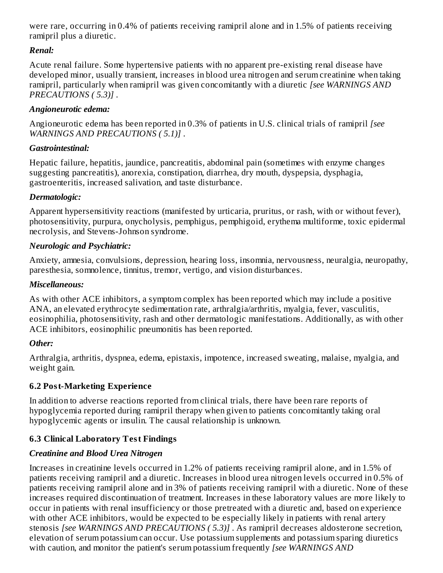were rare, occurring in 0.4% of patients receiving ramipril alone and in 1.5% of patients receiving ramipril plus a diuretic.

#### *Renal:*

Acute renal failure. Some hypertensive patients with no apparent pre-existing renal disease have developed minor, usually transient, increases in blood urea nitrogen and serum creatinine when taking ramipril, particularly when ramipril was given concomitantly with a diuretic *[see WARNINGS AND PRECAUTIONS ( 5.3)]* .

#### *Angioneurotic edema:*

Angioneurotic edema has been reported in 0.3% of patients in U.S. clinical trials of ramipril *[see WARNINGS AND PRECAUTIONS ( 5.1)]* .

#### *Gastrointestinal:*

Hepatic failure, hepatitis, jaundice, pancreatitis, abdominal pain (sometimes with enzyme changes suggesting pancreatitis), anorexia, constipation, diarrhea, dry mouth, dyspepsia, dysphagia, gastroenteritis, increased salivation, and taste disturbance.

#### *Dermatologic:*

Apparent hypersensitivity reactions (manifested by urticaria, pruritus, or rash, with or without fever), photosensitivity, purpura, onycholysis, pemphigus, pemphigoid, erythema multiforme, toxic epidermal necrolysis, and Stevens-Johnson syndrome.

#### *Neurologic and Psychiatric:*

Anxiety, amnesia, convulsions, depression, hearing loss, insomnia, nervousness, neuralgia, neuropathy, paresthesia, somnolence, tinnitus, tremor, vertigo, and vision disturbances.

#### *Miscellaneous:*

As with other ACE inhibitors, a symptom complex has been reported which may include a positive ANA, an elevated erythrocyte sedimentation rate, arthralgia/arthritis, myalgia, fever, vasculitis, eosinophilia, photosensitivity, rash and other dermatologic manifestations. Additionally, as with other ACE inhibitors, eosinophilic pneumonitis has been reported.

#### *Other:*

Arthralgia, arthritis, dyspnea, edema, epistaxis, impotence, increased sweating, malaise, myalgia, and weight gain.

#### **6.2 Post-Marketing Experience**

In addition to adverse reactions reported from clinical trials, there have been rare reports of hypoglycemia reported during ramipril therapy when given to patients concomitantly taking oral hypoglycemic agents or insulin. The causal relationship is unknown.

## **6.3 Clinical Laboratory Test Findings**

## *Creatinine and Blood Urea Nitrogen*

Increases in creatinine levels occurred in 1.2% of patients receiving ramipril alone, and in 1.5% of patients receiving ramipril and a diuretic. Increases in blood urea nitrogen levels occurred in 0.5% of patients receiving ramipril alone and in 3% of patients receiving ramipril with a diuretic. None of these increases required discontinuation of treatment. Increases in these laboratory values are more likely to occur in patients with renal insufficiency or those pretreated with a diuretic and, based on experience with other ACE inhibitors, would be expected to be especially likely in patients with renal artery stenosis *[see WARNINGS AND PRECAUTIONS ( 5.3)]* . As ramipril decreases aldosterone secretion, elevation of serum potassium can occur. Use potassium supplements and potassium sparing diuretics with caution, and monitor the patient's serum potassium frequently *[see WARNINGS AND*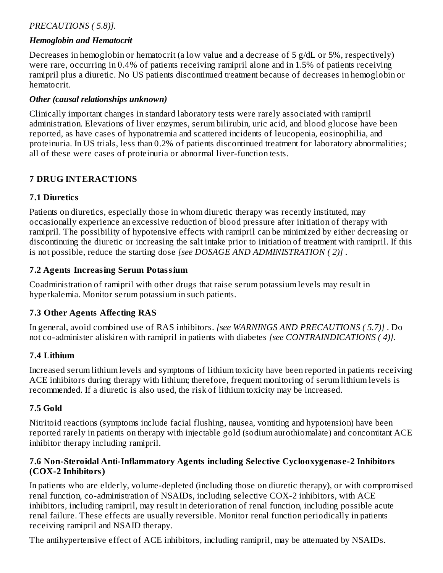#### *PRECAUTIONS ( 5.8)].*

#### *Hemoglobin and Hematocrit*

Decreases in hemoglobin or hematocrit (a low value and a decrease of 5 g/dL or 5%, respectively) were rare, occurring in 0.4% of patients receiving ramipril alone and in 1.5% of patients receiving ramipril plus a diuretic. No US patients discontinued treatment because of decreases in hemoglobin or hematocrit.

#### *Other (causal relationships unknown)*

Clinically important changes in standard laboratory tests were rarely associated with ramipril administration. Elevations of liver enzymes, serum bilirubin, uric acid, and blood glucose have been reported, as have cases of hyponatremia and scattered incidents of leucopenia, eosinophilia, and proteinuria. In US trials, less than 0.2% of patients discontinued treatment for laboratory abnormalities; all of these were cases of proteinuria or abnormal liver-function tests.

#### **7 DRUG INTERACTIONS**

#### **7.1 Diuretics**

Patients on diuretics, especially those in whom diuretic therapy was recently instituted, may occasionally experience an excessive reduction of blood pressure after initiation of therapy with ramipril. The possibility of hypotensive effects with ramipril can be minimized by either decreasing or discontinuing the diuretic or increasing the salt intake prior to initiation of treatment with ramipril. If this is not possible, reduce the starting dose *[see DOSAGE AND ADMINISTRATION ( 2)]* .

#### **7.2 Agents Increasing Serum Potassium**

Coadministration of ramipril with other drugs that raise serum potassium levels may result in hyperkalemia. Monitor serum potassium in such patients.

## **7.3 Other Agents Affecting RAS**

In general, avoid combined use of RAS inhibitors. *[see WARNINGS AND PRECAUTIONS ( 5.7)]* . Do not co-administer aliskiren with ramipril in patients with diabetes *[see CONTRAINDICATIONS ( 4)].*

#### **7.4 Lithium**

Increased serum lithium levels and symptoms of lithium toxicity have been reported in patients receiving ACE inhibitors during therapy with lithium; therefore, frequent monitoring of serum lithium levels is recommended. If a diuretic is also used, the risk of lithium toxicity may be increased.

#### **7.5 Gold**

Nitritoid reactions (symptoms include facial flushing, nausea, vomiting and hypotension) have been reported rarely in patients on therapy with injectable gold (sodium aurothiomalate) and concomitant ACE inhibitor therapy including ramipril.

#### **7.6 Non-Steroidal Anti-Inflammatory Agents including Selective Cyclooxygenas e-2 Inhibitors (COX-2 Inhibitors)**

In patients who are elderly, volume-depleted (including those on diuretic therapy), or with compromised renal function, co-administration of NSAIDs, including selective COX-2 inhibitors, with ACE inhibitors, including ramipril, may result in deterioration of renal function, including possible acute renal failure. These effects are usually reversible. Monitor renal function periodically in patients receiving ramipril and NSAID therapy.

The antihypertensive effect of ACE inhibitors, including ramipril, may be attenuated by NSAIDs.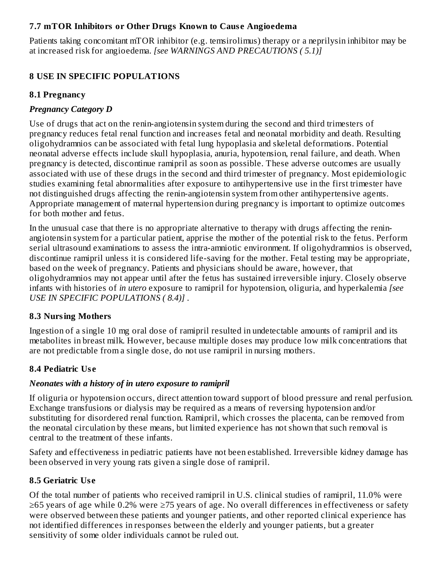#### **7.7 mTOR Inhibitors or Other Drugs Known to Caus e Angioedema**

Patients taking concomitant mTOR inhibitor (e.g. temsirolimus) therapy or a neprilysin inhibitor may be at increased risk for angioedema. *[see WARNINGS AND PRECAUTIONS ( 5.1)]*

# **8 USE IN SPECIFIC POPULATIONS**

## **8.1 Pregnancy**

## *Pregnancy Category D*

Use of drugs that act on the renin-angiotensin system during the second and third trimesters of pregnancy reduces fetal renal function and increases fetal and neonatal morbidity and death. Resulting oligohydramnios can be associated with fetal lung hypoplasia and skeletal deformations. Potential neonatal adverse effects include skull hypoplasia, anuria, hypotension, renal failure, and death. When pregnancy is detected, discontinue ramipril as soon as possible. These adverse outcomes are usually associated with use of these drugs in the second and third trimester of pregnancy. Most epidemiologic studies examining fetal abnormalities after exposure to antihypertensive use in the first trimester have not distinguished drugs affecting the renin-angiotensin system from other antihypertensive agents. Appropriate management of maternal hypertension during pregnancy is important to optimize outcomes for both mother and fetus.

In the unusual case that there is no appropriate alternative to therapy with drugs affecting the reninangiotensin system for a particular patient, apprise the mother of the potential risk to the fetus. Perform serial ultrasound examinations to assess the intra-amniotic environment. If oligohydramnios is observed, discontinue ramipril unless it is considered life-saving for the mother. Fetal testing may be appropriate, based on the week of pregnancy. Patients and physicians should be aware, however, that oligohydramnios may not appear until after the fetus has sustained irreversible injury. Closely observe infants with histories of *in utero* exposure to ramipril for hypotension, oliguria, and hyperkalemia *[see USE IN SPECIFIC POPULATIONS ( 8.4)]* .

## **8.3 Nursing Mothers**

Ingestion of a single 10 mg oral dose of ramipril resulted in undetectable amounts of ramipril and its metabolites in breast milk. However, because multiple doses may produce low milk concentrations that are not predictable from a single dose, do not use ramipril in nursing mothers.

# **8.4 Pediatric Us e**

## *Neonates with a history of in utero exposure to ramipril*

If oliguria or hypotension occurs, direct attention toward support of blood pressure and renal perfusion. Exchange transfusions or dialysis may be required as a means of reversing hypotension and/or substituting for disordered renal function. Ramipril, which crosses the placenta, can be removed from the neonatal circulation by these means, but limited experience has not shown that such removal is central to the treatment of these infants.

Safety and effectiveness in pediatric patients have not been established. Irreversible kidney damage has been observed in very young rats given a single dose of ramipril.

# **8.5 Geriatric Us e**

Of the total number of patients who received ramipril in U.S. clinical studies of ramipril, 11.0% were ≥65 years of age while 0.2% were ≥75 years of age. No overall differences in effectiveness or safety were observed between these patients and younger patients, and other reported clinical experience has not identified differences in responses between the elderly and younger patients, but a greater sensitivity of some older individuals cannot be ruled out.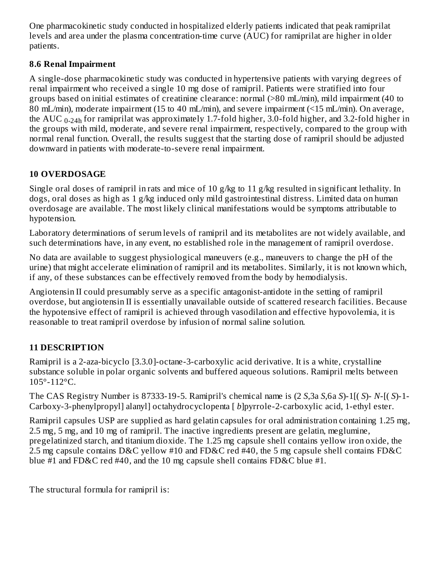One pharmacokinetic study conducted in hospitalized elderly patients indicated that peak ramiprilat levels and area under the plasma concentration-time curve (AUC) for ramiprilat are higher in older patients.

# **8.6 Renal Impairment**

A single-dose pharmacokinetic study was conducted in hypertensive patients with varying degrees of renal impairment who received a single 10 mg dose of ramipril. Patients were stratified into four groups based on initial estimates of creatinine clearance: normal (>80 mL/min), mild impairment (40 to 80 mL/min), moderate impairment (15 to 40 mL/min), and severe impairment (<15 mL/min). On average, the  $\rm AUC$   $_{0\text{-}24h}$  for ramiprilat was approximately 1.7-fold higher, 3.0-fold higher, and 3.2-fold higher in the groups with mild, moderate, and severe renal impairment, respectively, compared to the group with normal renal function. Overall, the results suggest that the starting dose of ramipril should be adjusted downward in patients with moderate-to-severe renal impairment.

# **10 OVERDOSAGE**

Single oral doses of ramipril in rats and mice of 10 g/kg to 11 g/kg resulted in significant lethality. In dogs, oral doses as high as 1 g/kg induced only mild gastrointestinal distress. Limited data on human overdosage are available. The most likely clinical manifestations would be symptoms attributable to hypotension.

Laboratory determinations of serum levels of ramipril and its metabolites are not widely available, and such determinations have, in any event, no established role in the management of ramipril overdose.

No data are available to suggest physiological maneuvers (e.g., maneuvers to change the pH of the urine) that might accelerate elimination of ramipril and its metabolites. Similarly, it is not known which, if any, of these substances can be effectively removed from the body by hemodialysis.

Angiotensin II could presumably serve as a specific antagonist-antidote in the setting of ramipril overdose, but angiotensin II is essentially unavailable outside of scattered research facilities. Because the hypotensive effect of ramipril is achieved through vasodilation and effective hypovolemia, it is reasonable to treat ramipril overdose by infusion of normal saline solution.

# **11 DESCRIPTION**

Ramipril is a 2-aza-bicyclo [3.3.0]-octane-3-carboxylic acid derivative. It is a white, crystalline substance soluble in polar organic solvents and buffered aqueous solutions. Ramipril melts between 105°-112°C.

The CAS Registry Number is 87333-19-5. Ramipril's chemical name is (2 *S*,3a *S*,6a *S*)-1[( *S*)- *N*-[( *S*)-1- Carboxy-3-phenylpropyl] alanyl] octahydrocyclopenta [ *b*]pyrrole-2-carboxylic acid, 1-ethyl ester.

Ramipril capsules USP are supplied as hard gelatin capsules for oral administration containing 1.25 mg, 2.5 mg, 5 mg, and 10 mg of ramipril. The inactive ingredients present are gelatin, meglumine, pregelatinized starch, and titanium dioxide. The 1.25 mg capsule shell contains yellow iron oxide, the 2.5 mg capsule contains D&C yellow #10 and FD&C red #40, the 5 mg capsule shell contains FD&C blue #1 and FD&C red #40, and the 10 mg capsule shell contains FD&C blue #1.

The structural formula for ramipril is: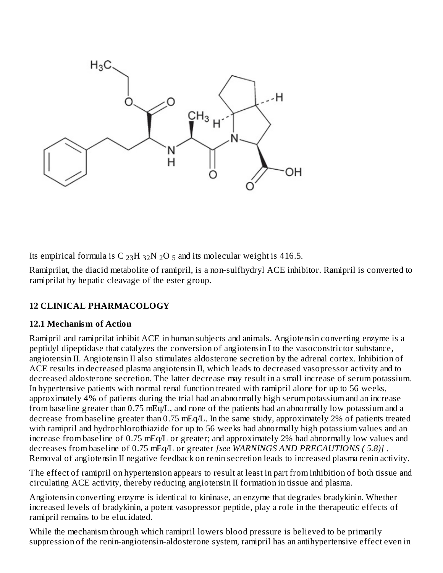

Its empirical formula is C  $_{23}H_{32}N_{2}O_5$  and its molecular weight is 416.5.

Ramiprilat, the diacid metabolite of ramipril, is a non-sulfhydryl ACE inhibitor. Ramipril is converted to ramiprilat by hepatic cleavage of the ester group.

## **12 CLINICAL PHARMACOLOGY**

#### **12.1 Mechanism of Action**

Ramipril and ramiprilat inhibit ACE in human subjects and animals. Angiotensin converting enzyme is a peptidyl dipeptidase that catalyzes the conversion of angiotensin I to the vasoconstrictor substance, angiotensin II. Angiotensin II also stimulates aldosterone secretion by the adrenal cortex. Inhibition of ACE results in decreased plasma angiotensin II, which leads to decreased vasopressor activity and to decreased aldosterone secretion. The latter decrease may result in a small increase of serum potassium. In hypertensive patients with normal renal function treated with ramipril alone for up to 56 weeks, approximately 4% of patients during the trial had an abnormally high serum potassium and an increase from baseline greater than 0.75 mEq/L, and none of the patients had an abnormally low potassium and a decrease from baseline greater than 0.75 mEq/L. In the same study, approximately 2% of patients treated with ramipril and hydrochlorothiazide for up to 56 weeks had abnormally high potassium values and an increase from baseline of 0.75 mEq/L or greater; and approximately 2% had abnormally low values and decreases from baseline of 0.75 mEq/L or greater *[see WARNINGS AND PRECAUTIONS ( 5.8)]* . Removal of angiotensin II negative feedback on renin secretion leads to increased plasma renin activity.

The effect of ramipril on hypertension appears to result at least in part from inhibition of both tissue and circulating ACE activity, thereby reducing angiotensin II formation in tissue and plasma.

Angiotensin converting enzyme is identical to kininase, an enzyme that degrades bradykinin. Whether increased levels of bradykinin, a potent vasopressor peptide, play a role in the therapeutic effects of ramipril remains to be elucidated.

While the mechanism through which ramipril lowers blood pressure is believed to be primarily suppression of the renin-angiotensin-aldosterone system, ramipril has an antihypertensive effect even in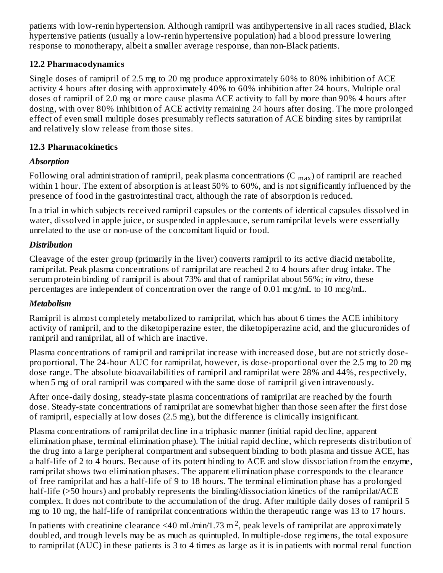patients with low-renin hypertension. Although ramipril was antihypertensive in all races studied, Black hypertensive patients (usually a low-renin hypertensive population) had a blood pressure lowering response to monotherapy, albeit a smaller average response, than non-Black patients.

#### **12.2 Pharmacodynamics**

Single doses of ramipril of 2.5 mg to 20 mg produce approximately 60% to 80% inhibition of ACE activity 4 hours after dosing with approximately 40% to 60% inhibition after 24 hours. Multiple oral doses of ramipril of 2.0 mg or more cause plasma ACE activity to fall by more than 90% 4 hours after dosing, with over 80% inhibition of ACE activity remaining 24 hours after dosing. The more prolonged effect of even small multiple doses presumably reflects saturation of ACE binding sites by ramiprilat and relatively slow release from those sites.

## **12.3 Pharmacokinetics**

# *Absorption*

Following oral administration of ramipril, peak plasma concentrations (C  $_{\rm max}$ ) of ramipril are reached within 1 hour. The extent of absorption is at least 50% to 60%, and is not significantly influenced by the presence of food in the gastrointestinal tract, although the rate of absorption is reduced.

In a trial in which subjects received ramipril capsules or the contents of identical capsules dissolved in water, dissolved in apple juice, or suspended in applesauce, serum ramiprilat levels were essentially unrelated to the use or non-use of the concomitant liquid or food.

# *Distribution*

Cleavage of the ester group (primarily in the liver) converts ramipril to its active diacid metabolite, ramiprilat. Peak plasma concentrations of ramiprilat are reached 2 to 4 hours after drug intake. The serum protein binding of ramipril is about 73% and that of ramiprilat about 56%; *in vitro,* these percentages are independent of concentration over the range of 0.01 mcg/mL to 10 mcg/mL.

## *Metabolism*

Ramipril is almost completely metabolized to ramiprilat, which has about 6 times the ACE inhibitory activity of ramipril, and to the diketopiperazine ester, the diketopiperazine acid, and the glucuronides of ramipril and ramiprilat, all of which are inactive.

Plasma concentrations of ramipril and ramiprilat increase with increased dose, but are not strictly doseproportional. The 24-hour AUC for ramiprilat, however, is dose-proportional over the 2.5 mg to 20 mg dose range. The absolute bioavailabilities of ramipril and ramiprilat were 28% and 44%, respectively, when 5 mg of oral ramipril was compared with the same dose of ramipril given intravenously.

After once-daily dosing, steady-state plasma concentrations of ramiprilat are reached by the fourth dose. Steady-state concentrations of ramiprilat are somewhat higher than those seen after the first dose of ramipril, especially at low doses (2.5 mg), but the difference is clinically insignificant.

Plasma concentrations of ramiprilat decline in a triphasic manner (initial rapid decline, apparent elimination phase, terminal elimination phase). The initial rapid decline, which represents distribution of the drug into a large peripheral compartment and subsequent binding to both plasma and tissue ACE, has a half-life of 2 to 4 hours. Because of its potent binding to ACE and slow dissociation from the enzyme, ramiprilat shows two elimination phases. The apparent elimination phase corresponds to the clearance of free ramiprilat and has a half-life of 9 to 18 hours. The terminal elimination phase has a prolonged half-life (>50 hours) and probably represents the binding/dissociation kinetics of the ramiprilat/ACE complex. It does not contribute to the accumulation of the drug. After multiple daily doses of ramipril 5 mg to 10 mg, the half-life of ramiprilat concentrations within the therapeutic range was 13 to 17 hours.

In patients with creatinine clearance <40 mL/min/1.73 m<sup>2</sup>, peak levels of ramiprilat are approximately doubled, and trough levels may be as much as quintupled. In multiple-dose regimens, the total exposure to ramiprilat (AUC) in these patients is 3 to 4 times as large as it is in patients with normal renal function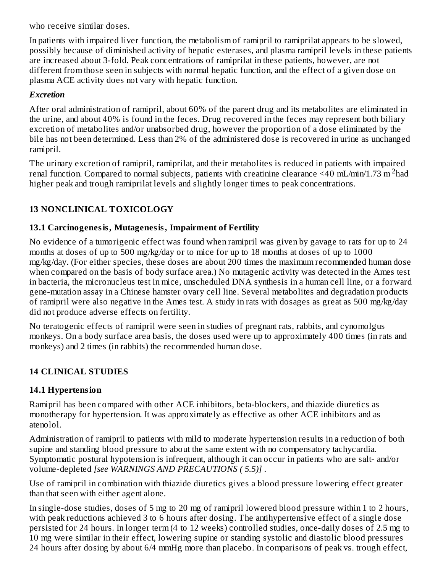who receive similar doses.

In patients with impaired liver function, the metabolism of ramipril to ramiprilat appears to be slowed, possibly because of diminished activity of hepatic esterases, and plasma ramipril levels in these patients are increased about 3-fold. Peak concentrations of ramiprilat in these patients, however, are not different from those seen in subjects with normal hepatic function, and the effect of a given dose on plasma ACE activity does not vary with hepatic function.

#### *Excretion*

After oral administration of ramipril, about 60% of the parent drug and its metabolites are eliminated in the urine, and about 40% is found in the feces. Drug recovered in the feces may represent both biliary excretion of metabolites and/or unabsorbed drug, however the proportion of a dose eliminated by the bile has not been determined. Less than 2% of the administered dose is recovered in urine as unchanged ramipril.

The urinary excretion of ramipril, ramiprilat, and their metabolites is reduced in patients with impaired renal function. Compared to normal subjects, patients with creatinine clearance <40 mL/min/1.73 m<sup>2</sup>had higher peak and trough ramiprilat levels and slightly longer times to peak concentrations.

# **13 NONCLINICAL TOXICOLOGY**

#### **13.1 Carcinogenesis, Mutagenesis, Impairment of Fertility**

No evidence of a tumorigenic effect was found when ramipril was given by gavage to rats for up to 24 months at doses of up to 500 mg/kg/day or to mice for up to 18 months at doses of up to 1000 mg/kg/day. (For either species, these doses are about 200 times the maximum recommended human dose when compared on the basis of body surface area.) No mutagenic activity was detected in the Ames test in bacteria, the micronucleus test in mice, unscheduled DNA synthesis in a human cell line, or a forward gene-mutation assay in a Chinese hamster ovary cell line. Several metabolites and degradation products of ramipril were also negative in the Ames test. A study in rats with dosages as great as 500 mg/kg/day did not produce adverse effects on fertility.

No teratogenic effects of ramipril were seen in studies of pregnant rats, rabbits, and cynomolgus monkeys. On a body surface area basis, the doses used were up to approximately 400 times (in rats and monkeys) and 2 times (in rabbits) the recommended human dose.

## **14 CLINICAL STUDIES**

## **14.1 Hypertension**

Ramipril has been compared with other ACE inhibitors, beta-blockers, and thiazide diuretics as monotherapy for hypertension. It was approximately as effective as other ACE inhibitors and as atenolol.

Administration of ramipril to patients with mild to moderate hypertension results in a reduction of both supine and standing blood pressure to about the same extent with no compensatory tachycardia. Symptomatic postural hypotension is infrequent, although it can occur in patients who are salt- and/or volume-depleted *[see WARNINGS AND PRECAUTIONS ( 5.5)]* .

Use of ramipril in combination with thiazide diuretics gives a blood pressure lowering effect greater than that seen with either agent alone.

In single-dose studies, doses of 5 mg to 20 mg of ramipril lowered blood pressure within 1 to 2 hours, with peak reductions achieved 3 to 6 hours after dosing. The antihypertensive effect of a single dose persisted for 24 hours. In longer term (4 to 12 weeks) controlled studies, once-daily doses of 2.5 mg to 10 mg were similar in their effect, lowering supine or standing systolic and diastolic blood pressures 24 hours after dosing by about 6/4 mmHg more than placebo. In comparisons of peak vs. trough effect,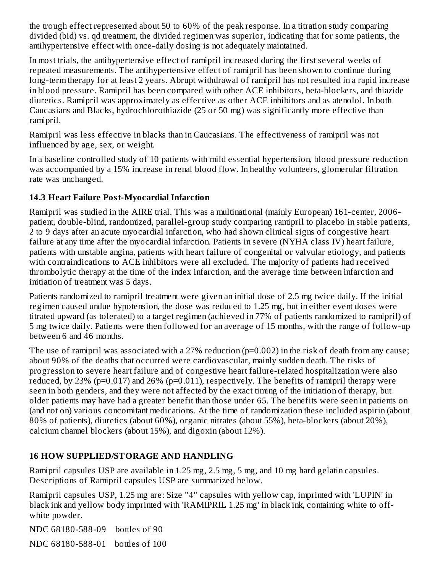the trough effect represented about 50 to 60% of the peak response. In a titration study comparing divided (bid) vs. qd treatment, the divided regimen was superior, indicating that for some patients, the antihypertensive effect with once-daily dosing is not adequately maintained.

In most trials, the antihypertensive effect of ramipril increased during the first several weeks of repeated measurements. The antihypertensive effect of ramipril has been shown to continue during long-term therapy for at least 2 years. Abrupt withdrawal of ramipril has not resulted in a rapid increase in blood pressure. Ramipril has been compared with other ACE inhibitors, beta-blockers, and thiazide diuretics. Ramipril was approximately as effective as other ACE inhibitors and as atenolol. In both Caucasians and Blacks, hydrochlorothiazide (25 or 50 mg) was significantly more effective than ramipril.

Ramipril was less effective in blacks than in Caucasians. The effectiveness of ramipril was not influenced by age, sex, or weight.

In a baseline controlled study of 10 patients with mild essential hypertension, blood pressure reduction was accompanied by a 15% increase in renal blood flow. In healthy volunteers, glomerular filtration rate was unchanged.

#### **14.3 Heart Failure Post-Myocardial Infarction**

Ramipril was studied in the AIRE trial. This was a multinational (mainly European) 161-center, 2006 patient, double-blind, randomized, parallel-group study comparing ramipril to placebo in stable patients, 2 to 9 days after an acute myocardial infarction, who had shown clinical signs of congestive heart failure at any time after the myocardial infarction. Patients in severe (NYHA class IV) heart failure, patients with unstable angina, patients with heart failure of congenital or valvular etiology, and patients with contraindications to ACE inhibitors were all excluded. The majority of patients had received thrombolytic therapy at the time of the index infarction, and the average time between infarction and initiation of treatment was 5 days.

Patients randomized to ramipril treatment were given an initial dose of 2.5 mg twice daily. If the initial regimen caused undue hypotension, the dose was reduced to 1.25 mg, but in either event doses were titrated upward (as tolerated) to a target regimen (achieved in 77% of patients randomized to ramipril) of 5 mg twice daily. Patients were then followed for an average of 15 months, with the range of follow-up between 6 and 46 months.

The use of ramipril was associated with a 27% reduction  $(p=0.002)$  in the risk of death from any cause; about 90% of the deaths that occurred were cardiovascular, mainly sudden death. The risks of progression to severe heart failure and of congestive heart failure-related hospitalization were also reduced, by 23% (p=0.017) and 26% (p=0.011), respectively. The benefits of ramipril therapy were seen in both genders, and they were not affected by the exact timing of the initiation of therapy, but older patients may have had a greater benefit than those under 65. The benefits were seen in patients on (and not on) various concomitant medications. At the time of randomization these included aspirin (about 80% of patients), diuretics (about 60%), organic nitrates (about 55%), beta-blockers (about 20%), calcium channel blockers (about 15%), and digoxin (about 12%).

## **16 HOW SUPPLIED/STORAGE AND HANDLING**

Ramipril capsules USP are available in 1.25 mg, 2.5 mg, 5 mg, and 10 mg hard gelatin capsules. Descriptions of Ramipril capsules USP are summarized below.

Ramipril capsules USP, 1.25 mg are: Size "4" capsules with yellow cap, imprinted with 'LUPIN' in black ink and yellow body imprinted with 'RAMIPRIL 1.25 mg' in black ink, containing white to offwhite powder.

NDC 68180-588-09 bottles of 90

NDC 68180-588-01 bottles of 100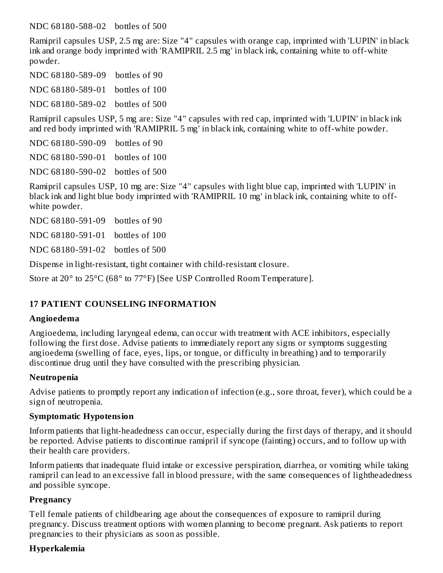NDC 68180-588-02 bottles of 500

Ramipril capsules USP, 2.5 mg are: Size "4" capsules with orange cap, imprinted with 'LUPIN' in black ink and orange body imprinted with 'RAMIPRIL 2.5 mg' in black ink, containing white to off-white powder.

NDC 68180-589-09 bottles of 90

NDC 68180-589-01 bottles of 100

NDC 68180-589-02 bottles of 500

Ramipril capsules USP, 5 mg are: Size "4" capsules with red cap, imprinted with 'LUPIN' in black ink and red body imprinted with 'RAMIPRIL 5 mg' in black ink, containing white to off-white powder.

NDC 68180-590-09 bottles of 90 NDC 68180-590-01 bottles of 100

NDC 68180-590-02 bottles of 500

Ramipril capsules USP, 10 mg are: Size "4" capsules with light blue cap, imprinted with 'LUPIN' in black ink and light blue body imprinted with 'RAMIPRIL 10 mg' in black ink, containing white to offwhite powder.

NDC 68180-591-09 bottles of 90

NDC 68180-591-01 bottles of 100

NDC 68180-591-02 bottles of 500

Dispense in light-resistant, tight container with child-resistant closure.

Store at 20° to 25°C (68° to 77°F) [See USP Controlled Room Temperature].

#### **17 PATIENT COUNSELING INFORMATION**

#### **Angioedema**

Angioedema, including laryngeal edema, can occur with treatment with ACE inhibitors, especially following the first dose. Advise patients to immediately report any signs or symptoms suggesting angioedema (swelling of face, eyes, lips, or tongue, or difficulty in breathing) and to temporarily discontinue drug until they have consulted with the prescribing physician.

#### **Neutropenia**

Advise patients to promptly report any indication of infection (e.g., sore throat, fever), which could be a sign of neutropenia.

#### **Symptomatic Hypotension**

Inform patients that light-headedness can occur, especially during the first days of therapy, and it should be reported. Advise patients to discontinue ramipril if syncope (fainting) occurs, and to follow up with their health care providers.

Inform patients that inadequate fluid intake or excessive perspiration, diarrhea, or vomiting while taking ramipril can lead to an excessive fall in blood pressure, with the same consequences of lightheadedness and possible syncope.

#### **Pregnancy**

Tell female patients of childbearing age about the consequences of exposure to ramipril during pregnancy. Discuss treatment options with women planning to become pregnant. Ask patients to report pregnancies to their physicians as soon as possible.

#### **Hyperkalemia**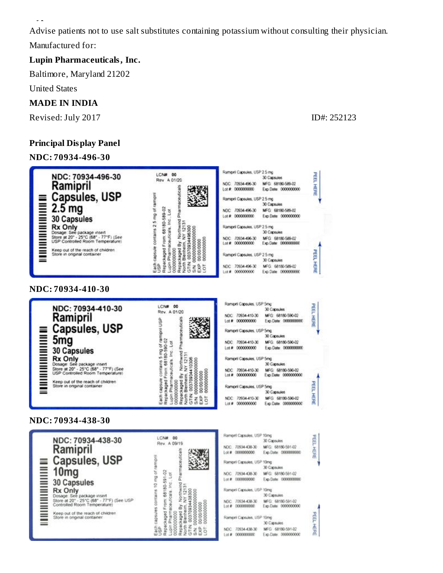Advise patients not to use salt substitutes containing potassium without consulting their physician. Manufactured for:

#### **Lupin Pharmaceuticals, Inc.**

Baltimore, Maryland 21202

United States

**Hyperkalemia**

#### **MADE IN INDIA**

Revised: July 2017 **ID#: 252123** 

#### **Principal Display Panel**

#### **NDC: 70934-496-30**

NDC: 70934-496-30 30 Capsules Rev 4 01/20 NDC: 70934-496-30 MFG: 68180-589-02 Ramipril Pharmaceuticals 鑁 Lot # 0000000000 Exp. Date: 0000000000 **Capsules, USP MANIFERSITION A** capsule contains 2.5 mg of rampri Ramipril Capsules, USP 2.5 mg 30 Capsules  $\begin{tabular}{|c|c|} \hline \textbf{Egat capsule contains 2.5 mg of ram} \\ \hline \textbf{Rgat capsule from 68180-589-02} \\ \hline \textbf{Rgat capsule from 68180-589-02} \\ \hline \textbf{0.00000000} \\ \textbf{0.000000000} \\ \textbf{0.000000000} \\ \textbf{Mnth Bendnetm, YY 12131 \\ \textbf{CTW 00370934489300} \\ \textbf{EW 0000000000000} \\ \textbf{EW 0$  $2.5<sub>mg</sub>$ NDC 70934-496-30 MFG: 68180-589-02 Lot # 0000000000 Exp Date 0000000000 **30 Capsules Rx Only** Ramipril Capsules, USP 2.5 mg Dosage: See package insert<br>Store at 20° - 25°C (68° - 77°F) (See<br>USP Controlled Room Temperature) 30 Capsules NDC 70934-496-30 MFG 68180-589-02 Lot # 0000000000 Exp.Date: 0000000000 Keep out of the reach of children<br>Store in original container Rampril Capsules, USP 2.5 mg 30 Capsules NDC 70934-496-30 MFG 68180-589-02 Lot # 0000000000 Exp.Date 0000000000 **NDC: 70934-410-30** Ramigini Capsules, USP 5mg LCN# 00 NDC: 70934-410-30 30 Capsules Rev. A 01/20 Each capsue contains 5 mg of rampin USP<br>Repackaged From 68180-590-02<br>Lupin Pharmaceuticals Inc. Lot<br>Repackaged By Northwind Pharmaceuticals 2<br>Repackaged By Northwind Pharmaceuticals 2<br>China to 0000000000000000000000000000 NDC 70934-410-30 Ramipril Lot # 0000000000 **Capsules, USP Martin Martin Martin Martin Martin Martin Martin Martin Martin Martin Martin Ma** Rampel Capsules, USP 5mg 30 Capsules 5<sub>mg</sub> NDC 70934-410-30  $Let$  # 00000000000 **30 Capsules Rx Only** Rampril Capsules, USP 5mg Dosage: See package insert<br>Store at 20° - 25°C (68° - 77°F) (See<br>USP Controlled Room Temperature) 30 Capsules NDC: 70934-410-30<br>Lot #: 0000000000 Keep out of the reach of children<br>Store in original container

LCN# 00



Rampril Capsules, USP 2.5 mg

#### **NDC: 70934-438-30**

| NDC: 70934-438-30                                                                                                                                                                                                                                    | 00<br>Rev. A 09/19 |
|------------------------------------------------------------------------------------------------------------------------------------------------------------------------------------------------------------------------------------------------------|--------------------|
| Ramipril                                                                                                                                                                                                                                             |                    |
|                                                                                                                                                                                                                                                      |                    |
| Capsules, USP<br>Mg<br>20 Capsules<br>Rx Only<br>Some See package insert<br>Subset at 20 <sup>-</sup> 25°C (69 <sup>-</sup> 77°F) (See<br>Slove of other and of children<br>Slove in original container<br>Store at 20" - 25"C (68" - 77"F) (See USP |                    |
|                                                                                                                                                                                                                                                      |                    |

| ampril Capsules, USP 10mg  |                                         |     |
|----------------------------|-----------------------------------------|-----|
|                            | 30 Capsules                             | Ħ   |
|                            | DC 70934-438-30 MFG: 68180-591-02       |     |
|                            | Exp Date: 0000000000                    | 五日光 |
| lampril Capsules, USP 10mg |                                         |     |
|                            | 30 Capsules                             |     |
|                            | DC 70934-438-30 MFG 68180-591-02        |     |
|                            | of # 00000000000 Exp.Date: 0000000000   |     |
| lampni Capsules, USP 10mg  |                                         |     |
|                            | 30 Capsules                             |     |
|                            | EC 70934-438-30 MFG 68180-591-02        |     |
|                            | of # 0000000000    Exp.Date: 0000000000 |     |
|                            |                                         |     |
| lampri Capsules, USP 10mg  |                                         | 晶   |
|                            | 30 Capsules                             |     |
|                            | DC 70934-438-30 MFG 68180-591-02        | 孟肃  |
|                            | of # 0000000000   Exp.Date: 0000000000  |     |
|                            |                                         |     |

PEEL HERE

PEEL HERE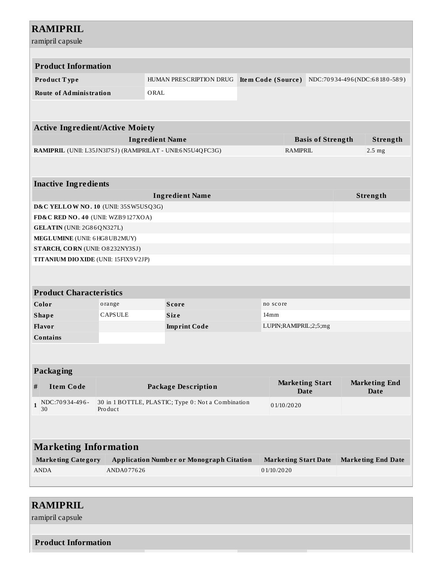| <b>RAMIPRIL</b><br>ramipril capsule                                                                                 |                                                                     |                                                 |                    |                             |                              |                              |  |
|---------------------------------------------------------------------------------------------------------------------|---------------------------------------------------------------------|-------------------------------------------------|--------------------|-----------------------------|------------------------------|------------------------------|--|
|                                                                                                                     |                                                                     |                                                 |                    |                             |                              |                              |  |
| <b>Product Information</b>                                                                                          |                                                                     |                                                 |                    |                             |                              |                              |  |
| Product Type                                                                                                        |                                                                     | HUMAN PRESCRIPTION DRUG                         | Item Code (Source) |                             |                              | NDC:70934-496(NDC:68180-589) |  |
|                                                                                                                     |                                                                     |                                                 |                    |                             |                              |                              |  |
| <b>Route of Administration</b>                                                                                      |                                                                     | ORAL                                            |                    |                             |                              |                              |  |
|                                                                                                                     |                                                                     |                                                 |                    |                             |                              |                              |  |
| <b>Active Ingredient/Active Moiety</b>                                                                              |                                                                     |                                                 |                    |                             |                              |                              |  |
|                                                                                                                     |                                                                     | <b>Ingredient Name</b>                          |                    |                             | <b>Basis of Strength</b>     | <b>Strength</b>              |  |
| RAMIPRIL (UNII: L35JN3I7SJ) (RAMIPRILAT - UNII:6N5U4QFC3G)                                                          |                                                                     |                                                 |                    | <b>RAMIPRIL</b>             |                              | 2.5 <sub>mg</sub>            |  |
|                                                                                                                     |                                                                     |                                                 |                    |                             |                              |                              |  |
|                                                                                                                     |                                                                     |                                                 |                    |                             |                              |                              |  |
| <b>Inactive Ingredients</b>                                                                                         |                                                                     |                                                 |                    |                             |                              |                              |  |
|                                                                                                                     |                                                                     | <b>Ingredient Name</b>                          |                    |                             |                              | Strength                     |  |
| D&C YELLOW NO. 10 (UNII: 35SW5USQ3G)                                                                                |                                                                     |                                                 |                    |                             |                              |                              |  |
| FD&C RED NO. 40 (UNII: WZB9127XOA)                                                                                  |                                                                     |                                                 |                    |                             |                              |                              |  |
| GELATIN (UNII: 2G86QN327L)                                                                                          |                                                                     |                                                 |                    |                             |                              |                              |  |
| MEGLUMINE (UNII: 6 HG8 UB2MUY)                                                                                      |                                                                     |                                                 |                    |                             |                              |                              |  |
| STARCH, CORN (UNII: O8232NY3SJ)                                                                                     |                                                                     |                                                 |                    |                             |                              |                              |  |
| TITANIUM DIO XIDE (UNII: 15FIX9 V2JP)                                                                               |                                                                     |                                                 |                    |                             |                              |                              |  |
|                                                                                                                     |                                                                     |                                                 |                    |                             |                              |                              |  |
|                                                                                                                     |                                                                     |                                                 |                    |                             |                              |                              |  |
| <b>Product Characteristics</b>                                                                                      |                                                                     |                                                 |                    |                             |                              |                              |  |
| Color                                                                                                               | orange                                                              | <b>Score</b><br>no score                        |                    |                             |                              |                              |  |
| <b>Shape</b>                                                                                                        | <b>CAPSULE</b>                                                      | <b>Size</b>                                     | 14mm               |                             |                              |                              |  |
| <b>Flavor</b>                                                                                                       |                                                                     | LUPIN;RAMIPRIL;2;5;mg<br><b>Imprint Code</b>    |                    |                             |                              |                              |  |
| <b>Contains</b>                                                                                                     |                                                                     |                                                 |                    |                             |                              |                              |  |
|                                                                                                                     |                                                                     |                                                 |                    |                             |                              |                              |  |
|                                                                                                                     |                                                                     |                                                 |                    |                             |                              |                              |  |
| Packaging                                                                                                           |                                                                     |                                                 |                    |                             |                              |                              |  |
| $\#$<br><b>Item Code</b>                                                                                            | <b>Marketing Start</b><br><b>Package Description</b><br><b>Date</b> |                                                 |                    |                             | <b>Marketing End</b><br>Date |                              |  |
| NDC:70934-496-<br>30 in 1 BOTTLE, PLASTIC; Type 0: Not a Combination<br>$\mathbf{1}$<br>01/10/2020<br>30<br>Product |                                                                     |                                                 |                    |                             |                              |                              |  |
|                                                                                                                     |                                                                     |                                                 |                    |                             |                              |                              |  |
| <b>Marketing Information</b>                                                                                        |                                                                     |                                                 |                    |                             |                              |                              |  |
| <b>Marketing Category</b>                                                                                           |                                                                     | <b>Application Number or Monograph Citation</b> |                    | <b>Marketing Start Date</b> |                              | <b>Marketing End Date</b>    |  |
| <b>ANDA</b>                                                                                                         | ANDA077626                                                          |                                                 | 01/10/2020         |                             |                              |                              |  |
|                                                                                                                     |                                                                     |                                                 |                    |                             |                              |                              |  |
|                                                                                                                     |                                                                     |                                                 |                    |                             |                              |                              |  |

# **RAMIPRIL**

ramipril capsule

**Product Information**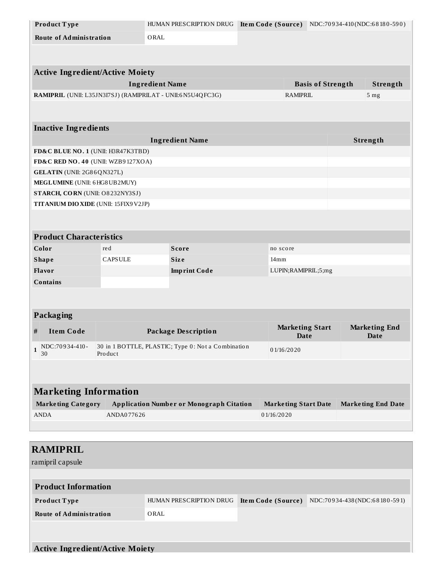| Product Type                           |                | HUMAN PRESCRIPTION DRUG                                    | Item Code (Source) |                             | NDC:70934-410(NDC:68180-590) |
|----------------------------------------|----------------|------------------------------------------------------------|--------------------|-----------------------------|------------------------------|
| <b>Route of Administration</b>         |                | ORAL                                                       |                    |                             |                              |
|                                        |                |                                                            |                    |                             |                              |
|                                        |                |                                                            |                    |                             |                              |
| <b>Active Ingredient/Active Moiety</b> |                |                                                            |                    |                             |                              |
|                                        |                | <b>Ingredient Name</b>                                     |                    | <b>Basis of Strength</b>    | Strength                     |
|                                        |                | RAMIPRIL (UNII: L35JN3I7SJ) (RAMIPRILAT - UNII:6N5U4QFC3G) |                    | <b>RAMIPRIL</b>             | 5 mg                         |
|                                        |                |                                                            |                    |                             |                              |
|                                        |                |                                                            |                    |                             |                              |
| <b>Inactive Ingredients</b>            |                |                                                            |                    |                             |                              |
|                                        |                | <b>Ingredient Name</b>                                     |                    |                             | Strength                     |
| FD&C BLUE NO. 1 (UNII: H3R47K3TBD)     |                |                                                            |                    |                             |                              |
| FD&C RED NO. 40 (UNII: WZB9127XOA)     |                |                                                            |                    |                             |                              |
| GELATIN (UNII: 2G86QN327L)             |                |                                                            |                    |                             |                              |
| MEGLUMINE (UNII: 6HG8UB2MUY)           |                |                                                            |                    |                             |                              |
| STARCH, CORN (UNII: O8232NY3SJ)        |                |                                                            |                    |                             |                              |
| TITANIUM DIO XIDE (UNII: 15FIX9 V2JP)  |                |                                                            |                    |                             |                              |
|                                        |                |                                                            |                    |                             |                              |
| <b>Product Characteristics</b>         |                |                                                            |                    |                             |                              |
| Color                                  | red            | <b>Score</b>                                               | no score           |                             |                              |
| <b>Shape</b>                           | <b>CAPSULE</b> | <b>Size</b>                                                | 14mm               |                             |                              |
| Flavor                                 |                | <b>Imprint Code</b>                                        |                    | LUPIN;RAMIPRIL;5;mg         |                              |
| <b>Contains</b>                        |                |                                                            |                    |                             |                              |
|                                        |                |                                                            |                    |                             |                              |
|                                        |                |                                                            |                    |                             |                              |
| Packaging                              |                |                                                            |                    |                             |                              |
|                                        |                |                                                            |                    | <b>Marketing Start</b>      | <b>Marketing End</b>         |
| <b>Item Code</b><br>#                  |                | <b>Package Description</b>                                 |                    | <b>Date</b>                 | Date                         |
| $1$ NDC:70934-410-                     |                | 30 in 1 BOTTLE, PLASTIC; Type 0: Not a Combination         | 01/16/2020         |                             |                              |
| 30                                     | Product        |                                                            |                    |                             |                              |
|                                        |                |                                                            |                    |                             |                              |
|                                        |                |                                                            |                    |                             |                              |
| <b>Marketing Information</b>           |                |                                                            |                    |                             |                              |
| <b>Marketing Category</b>              |                | <b>Application Number or Monograph Citation</b>            |                    | <b>Marketing Start Date</b> | <b>Marketing End Date</b>    |
| <b>ANDA</b>                            | ANDA077626     |                                                            | 01/16/2020         |                             |                              |
|                                        |                |                                                            |                    |                             |                              |
|                                        |                |                                                            |                    |                             |                              |
| <b>RAMIPRIL</b>                        |                |                                                            |                    |                             |                              |
| ramipril capsule                       |                |                                                            |                    |                             |                              |
|                                        |                |                                                            |                    |                             |                              |
|                                        |                |                                                            |                    |                             |                              |
| <b>Product Information</b>             |                |                                                            |                    |                             |                              |
|                                        |                | HUMAN PRESCRIPTION DRUG                                    |                    |                             |                              |
| Product Type                           |                |                                                            | Item Code (Source) |                             | NDC:70934-438(NDC:68180-591) |
| <b>Route of Administration</b>         |                | ORAL                                                       |                    |                             |                              |
|                                        |                |                                                            |                    |                             |                              |
| <b>Active Ingredient/Active Moiety</b> |                |                                                            |                    |                             |                              |